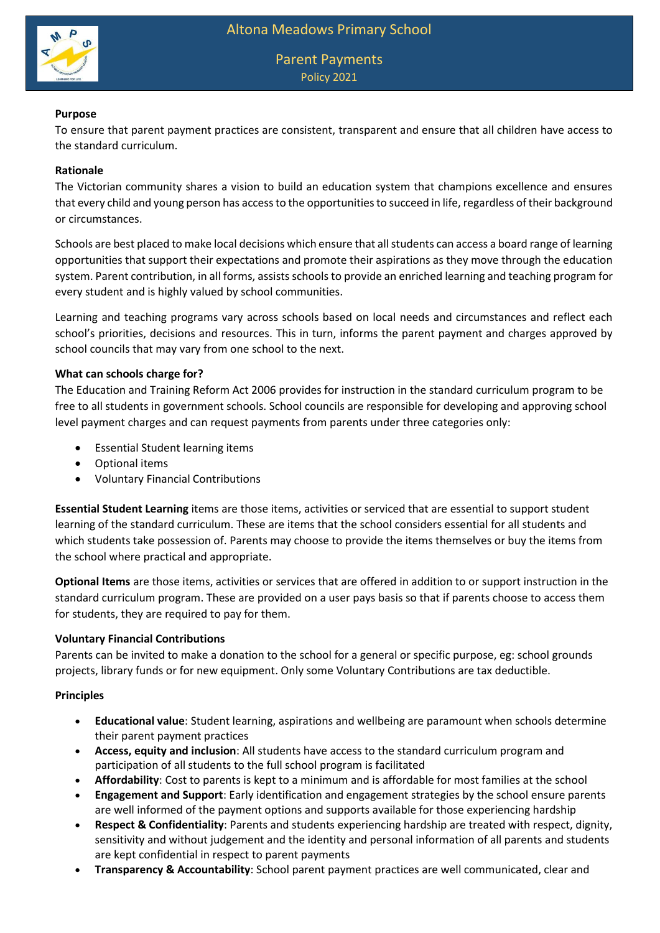

# **Purpose**

To ensure that parent payment practices are consistent, transparent and ensure that all children have access to the standard curriculum.

## **Rationale**

The Victorian community shares a vision to build an education system that champions excellence and ensures that every child and young person has access to the opportunities to succeed in life, regardless of their background or circumstances.

Schools are best placed to make local decisions which ensure that all students can access a board range of learning opportunities that support their expectations and promote their aspirations as they move through the education system. Parent contribution, in all forms, assists schools to provide an enriched learning and teaching program for every student and is highly valued by school communities.

Learning and teaching programs vary across schools based on local needs and circumstances and reflect each school's priorities, decisions and resources. This in turn, informs the parent payment and charges approved by school councils that may vary from one school to the next.

## **What can schools charge for?**

The Education and Training Reform Act 2006 provides for instruction in the standard curriculum program to be free to all students in government schools. School councils are responsible for developing and approving school level payment charges and can request payments from parents under three categories only:

- Essential Student learning items
- Optional items
- Voluntary Financial Contributions

**Essential Student Learning** items are those items, activities or serviced that are essential to support student learning of the standard curriculum. These are items that the school considers essential for all students and which students take possession of. Parents may choose to provide the items themselves or buy the items from the school where practical and appropriate.

**Optional Items** are those items, activities or services that are offered in addition to or support instruction in the standard curriculum program. These are provided on a user pays basis so that if parents choose to access them for students, they are required to pay for them.

## **Voluntary Financial Contributions**

Parents can be invited to make a donation to the school for a general or specific purpose, eg: school grounds projects, library funds or for new equipment. Only some Voluntary Contributions are tax deductible.

# **Principles**

- **Educational value**: Student learning, aspirations and wellbeing are paramount when schools determine their parent payment practices
- **Access, equity and inclusion**: All students have access to the standard curriculum program and participation of all students to the full school program is facilitated
- **Affordability**: Cost to parents is kept to a minimum and is affordable for most families at the school
- **Engagement and Support**: Early identification and engagement strategies by the school ensure parents are well informed of the payment options and supports available for those experiencing hardship
- **Respect & Confidentiality**: Parents and students experiencing hardship are treated with respect, dignity, sensitivity and without judgement and the identity and personal information of all parents and students are kept confidential in respect to parent payments
- **Transparency & Accountability**: School parent payment practices are well communicated, clear and